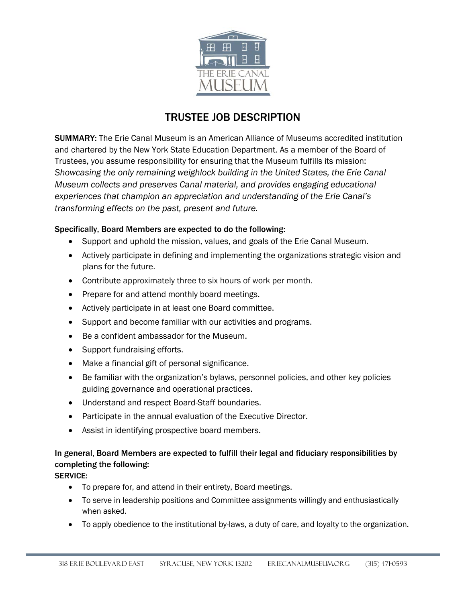

# TRUSTEE JOB DESCRIPTION

SUMMARY: The Erie Canal Museum is an American Alliance of Museums accredited institution and chartered by the New York State Education Department. As a member of the Board of Trustees, you assume responsibility for ensuring that the Museum fulfills its mission: *Showcasing the only remaining weighlock building in the United States, the Erie Canal Museum collects and preserves Canal material, and provides engaging educational experiences that champion an appreciation and understanding of the Erie Canal's transforming effects on the past, present and future.*

## Specifically, Board Members are expected to do the following:

- Support and uphold the mission, values, and goals of the Erie Canal Museum.
- Actively participate in defining and implementing the organizations strategic vision and plans for the future.
- Contribute approximately three to six hours of work per month.
- Prepare for and attend monthly board meetings.
- Actively participate in at least one Board committee.
- Support and become familiar with our activities and programs.
- Be a confident ambassador for the Museum.
- Support fundraising efforts.
- Make a financial gift of personal significance.
- Be familiar with the organization's bylaws, personnel policies, and other key policies guiding governance and operational practices.
- Understand and respect Board-Staff boundaries.
- Participate in the annual evaluation of the Executive Director.
- Assist in identifying prospective board members.

## In general, Board Members are expected to fulfill their legal and fiduciary responsibilities by completing the following:

## SERVICE:

- To prepare for, and attend in their entirety, Board meetings.
- To serve in leadership positions and Committee assignments willingly and enthusiastically when asked.
- To apply obedience to the institutional by-laws, a duty of care, and loyalty to the organization.